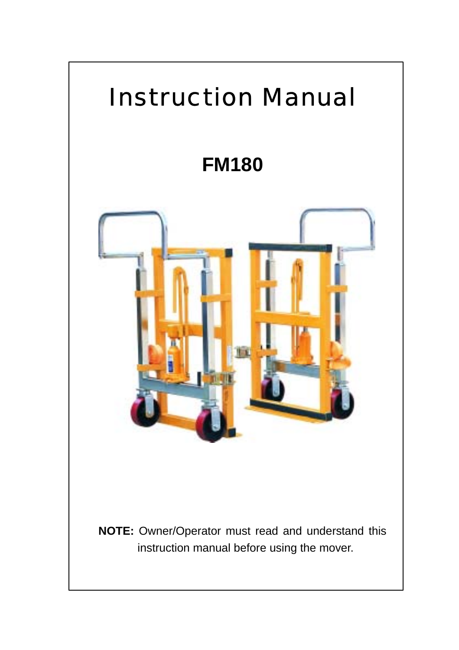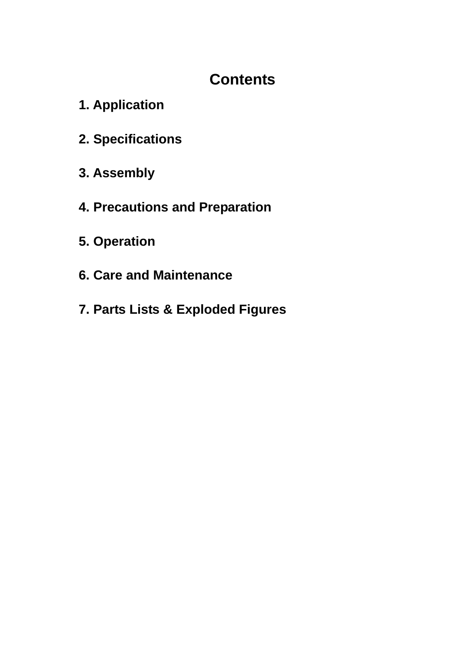## **Contents**

- **1. Application**
- **2. Specifications**
- **3. Assembly**
- **4. Precautions and Preparation**
- **5. Operation**
- **6. Care and Maintenance**
- **7. Parts Lists & Exploded Figures**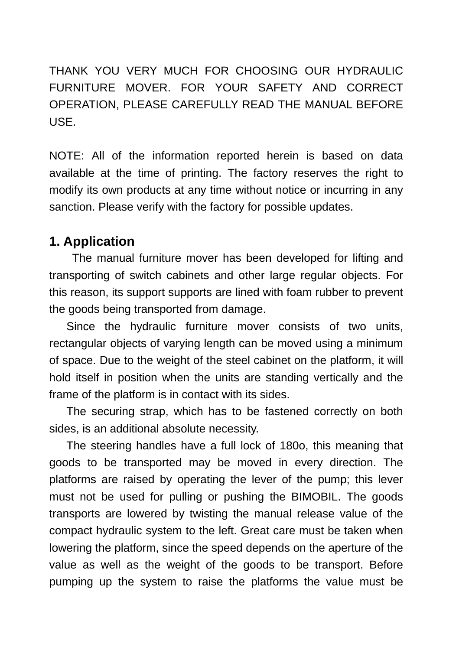THANK YOU VERY MUCH FOR CHOOSING OUR HYDRAULIC FURNITURE MOVER. FOR YOUR SAFETY AND CORRECT OPERATION, PLEASE CAREFULLY READ THE MANUAL BEFORE USE.

NOTE: All of the information reported herein is based on data available at the time of printing. The factory reserves the right to modify its own products at any time without notice or incurring in any sanction. Please verify with the factory for possible updates.

#### **1. Application**

 The manual furniture mover has been developed for lifting and transporting of switch cabinets and other large regular objects. For this reason, its support supports are lined with foam rubber to prevent the goods being transported from damage.

 Since the hydraulic furniture mover consists of two units, rectangular objects of varying length can be moved using a minimum of space. Due to the weight of the steel cabinet on the platform, it will hold itself in position when the units are standing vertically and the frame of the platform is in contact with its sides.

 The securing strap, which has to be fastened correctly on both sides, is an additional absolute necessity.

 The steering handles have a full lock of 180o, this meaning that goods to be transported may be moved in every direction. The platforms are raised by operating the lever of the pump; this lever must not be used for pulling or pushing the BIMOBIL. The goods transports are lowered by twisting the manual release value of the compact hydraulic system to the left. Great care must be taken when lowering the platform, since the speed depends on the aperture of the value as well as the weight of the goods to be transport. Before pumping up the system to raise the platforms the value must be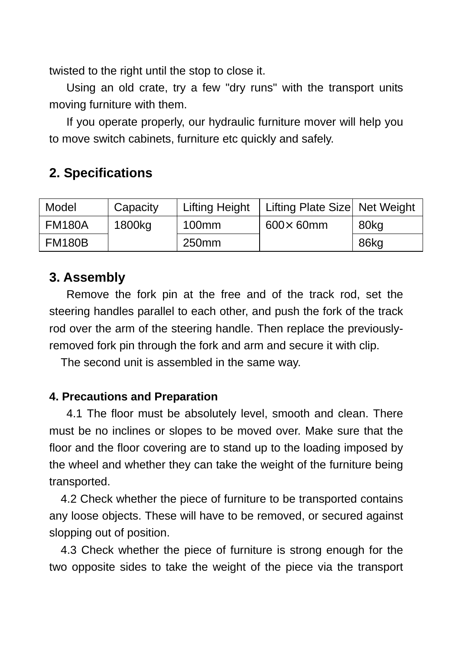twisted to the right until the stop to close it.

 Using an old crate, try a few "dry runs" with the transport units moving furniture with them.

 If you operate properly, our hydraulic furniture mover will help you to move switch cabinets, furniture etc quickly and safely.

## **2. Specifications**

| Model         | Capacity | <b>Lifting Height</b> | Lifting Plate Size Net Weight |      |
|---------------|----------|-----------------------|-------------------------------|------|
| FM180A        | 1800kg   | 100mm                 | $600 \times 60$ mm            | 80kg |
| <b>FM180B</b> |          | 250 <sub>mm</sub>     |                               | 86kg |

### **3. Assembly**

 Remove the fork pin at the free and of the track rod, set the steering handles parallel to each other, and push the fork of the track rod over the arm of the steering handle. Then replace the previouslyremoved fork pin through the fork and arm and secure it with clip.

The second unit is assembled in the same way.

#### **4. Precautions and Preparation**

 4.1 The floor must be absolutely level, smooth and clean. There must be no inclines or slopes to be moved over. Make sure that the floor and the floor covering are to stand up to the loading imposed by the wheel and whether they can take the weight of the furniture being transported.

 4.2 Check whether the piece of furniture to be transported contains any loose objects. These will have to be removed, or secured against slopping out of position.

 4.3 Check whether the piece of furniture is strong enough for the two opposite sides to take the weight of the piece via the transport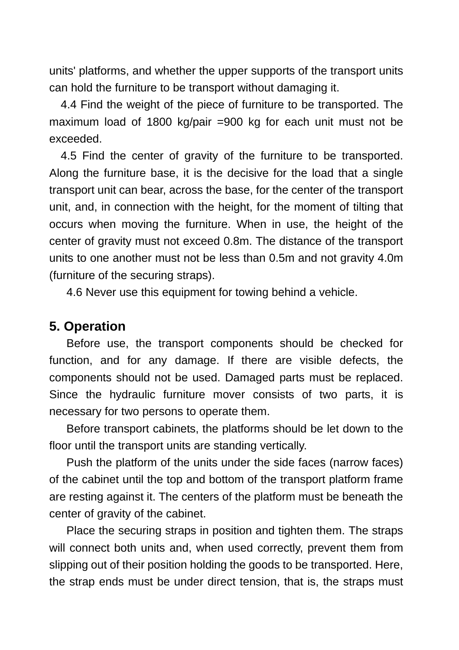units' platforms, and whether the upper supports of the transport units can hold the furniture to be transport without damaging it.

 4.4 Find the weight of the piece of furniture to be transported. The maximum load of 1800 kg/pair =900 kg for each unit must not be exceeded.

 4.5 Find the center of gravity of the furniture to be transported. Along the furniture base, it is the decisive for the load that a single transport unit can bear, across the base, for the center of the transport unit, and, in connection with the height, for the moment of tilting that occurs when moving the furniture. When in use, the height of the center of gravity must not exceed 0.8m. The distance of the transport units to one another must not be less than 0.5m and not gravity 4.0m (furniture of the securing straps).

4.6 Never use this equipment for towing behind a vehicle.

#### **5. Operation**

 Before use, the transport components should be checked for function, and for any damage. If there are visible defects, the components should not be used. Damaged parts must be replaced. Since the hydraulic furniture mover consists of two parts, it is necessary for two persons to operate them.

 Before transport cabinets, the platforms should be let down to the floor until the transport units are standing vertically.

 Push the platform of the units under the side faces (narrow faces) of the cabinet until the top and bottom of the transport platform frame are resting against it. The centers of the platform must be beneath the center of gravity of the cabinet.

 Place the securing straps in position and tighten them. The straps will connect both units and, when used correctly, prevent them from slipping out of their position holding the goods to be transported. Here, the strap ends must be under direct tension, that is, the straps must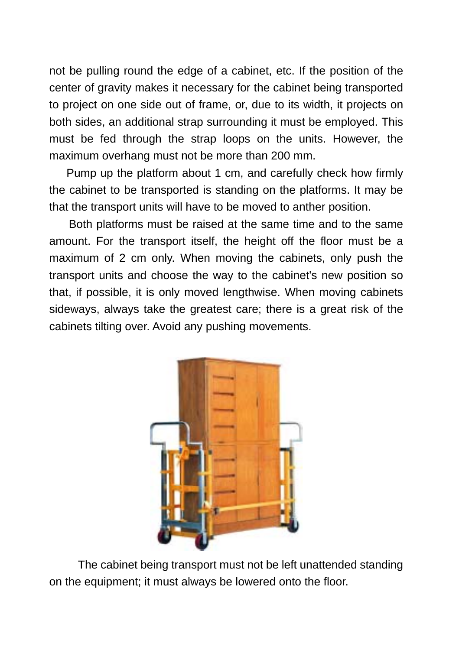not be pulling round the edge of a cabinet, etc. If the position of the center of gravity makes it necessary for the cabinet being transported to project on one side out of frame, or, due to its width, it projects on both sides, an additional strap surrounding it must be employed. This must be fed through the strap loops on the units. However, the maximum overhang must not be more than 200 mm.

 Pump up the platform about 1 cm, and carefully check how firmly the cabinet to be transported is standing on the platforms. It may be that the transport units will have to be moved to anther position.

Both platforms must be raised at the same time and to the same amount. For the transport itself, the height off the floor must be a maximum of 2 cm only. When moving the cabinets, only push the transport units and choose the way to the cabinet's new position so that, if possible, it is only moved lengthwise. When moving cabinets sideways, always take the greatest care; there is a great risk of the cabinets tilting over. Avoid any pushing movements.



 The cabinet being transport must not be left unattended standing on the equipment; it must always be lowered onto the floor.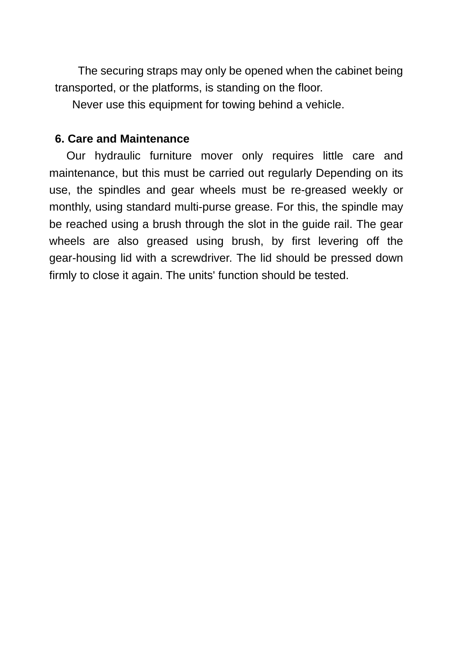The securing straps may only be opened when the cabinet being transported, or the platforms, is standing on the floor.

Never use this equipment for towing behind a vehicle.

#### **6. Care and Maintenance**

 Our hydraulic furniture mover only requires little care and maintenance, but this must be carried out regularly Depending on its use, the spindles and gear wheels must be re-greased weekly or monthly, using standard multi-purse grease. For this, the spindle may be reached using a brush through the slot in the guide rail. The gear wheels are also greased using brush, by first levering off the gear-housing lid with a screwdriver. The lid should be pressed down firmly to close it again. The units' function should be tested.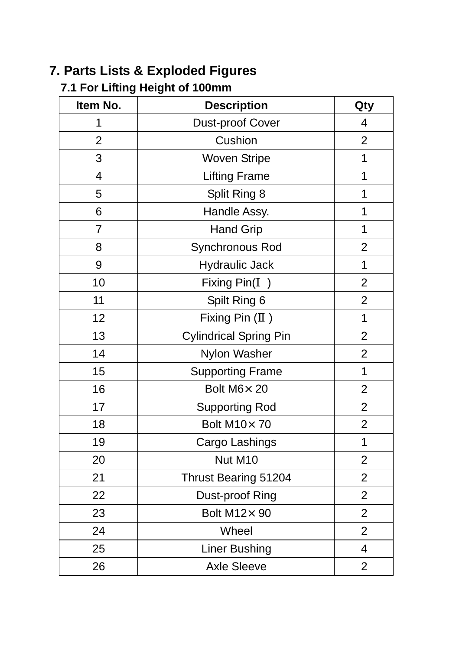# **7. Parts Lists & Exploded Figures**

## **7.1 For Lifting Height of 100mm**

| Item No.       | <b>Description</b>            | Qty            |
|----------------|-------------------------------|----------------|
| 1              | Dust-proof Cover              | 4              |
| $\overline{2}$ | Cushion                       | $\overline{2}$ |
| 3              | Woven Stripe                  | 1              |
| $\overline{4}$ | <b>Lifting Frame</b>          | 1              |
| 5              | Split Ring 8                  | 1              |
| 6              | Handle Assy.                  | 1              |
| 7              | <b>Hand Grip</b>              | 1              |
| 8              | Synchronous Rod               | $\overline{2}$ |
| 9              | <b>Hydraulic Jack</b>         | 1              |
| 10             | Fixing Pin(<br>$\lambda$      | $\overline{2}$ |
| 11             | Spilt Ring 6                  | $\overline{2}$ |
| 12             | Fixing Pin (<br>$\rightarrow$ | 1              |
| 13             | <b>Cylindrical Spring Pin</b> | $\overline{2}$ |
| 14             | Nylon Washer                  | $\overline{2}$ |
| 15             | <b>Supporting Frame</b>       | 1              |
| 16             | Bolt M6× 20                   | $\overline{2}$ |
| 17             | <b>Supporting Rod</b>         | $\overline{c}$ |
| 18             | Bolt M10×70                   | $\overline{2}$ |
| 19             | Cargo Lashings                | 1              |
| 20             | Nut M10                       | $\overline{2}$ |
| 21             | Thrust Bearing 51204          | $\overline{2}$ |
| 22             | Dust-proof Ring               | $\overline{2}$ |
| 23             | Bolt M12× 90                  | $\overline{2}$ |
| 24             | Wheel                         | $\overline{2}$ |
| 25             | <b>Liner Bushing</b>          | 4              |
| 26             | <b>Axle Sleeve</b>            | $\overline{2}$ |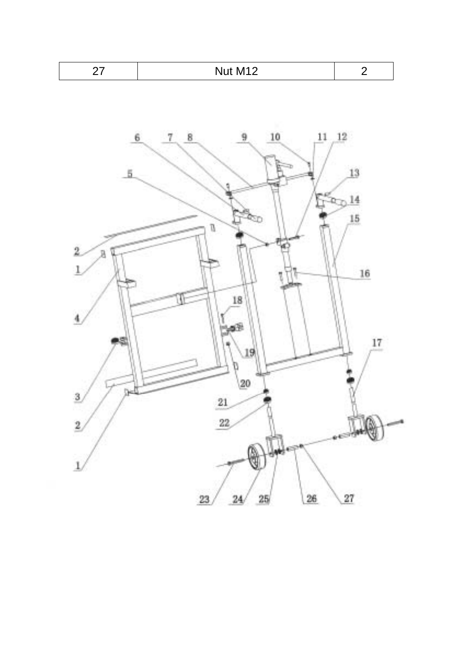| Nut M12 |  |
|---------|--|
|---------|--|

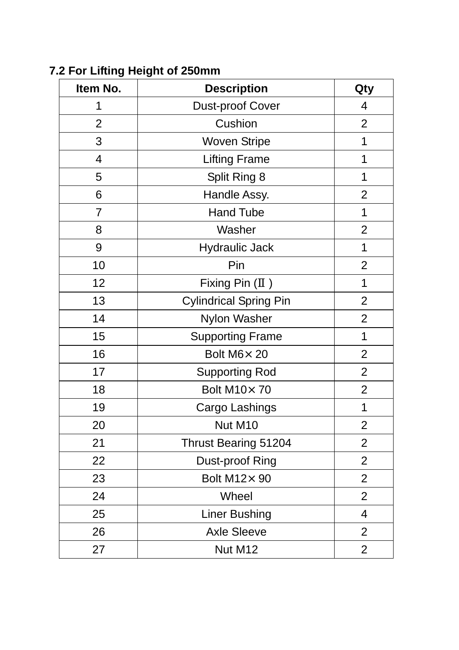| Item No.       | <b>Description</b>            | Qty            |
|----------------|-------------------------------|----------------|
| 1              | Dust-proof Cover              | 4              |
| $\overline{2}$ | Cushion                       | $\overline{2}$ |
| 3              | <b>Woven Stripe</b>           | 1              |
| 4              | <b>Lifting Frame</b>          | 1              |
| 5              | Split Ring 8                  | 1              |
| 6              | Handle Assy.                  | $\overline{2}$ |
| $\overline{7}$ | <b>Hand Tube</b>              | 1              |
| 8              | Washer                        | $\overline{2}$ |
| 9              | <b>Hydraulic Jack</b>         | 1              |
| 10             | Pin                           | $\overline{2}$ |
| 12             | Fixing Pin (<br>$\mathcal{E}$ | $\mathbf{1}$   |
| 13             | <b>Cylindrical Spring Pin</b> | $\overline{2}$ |
| 14             | Nylon Washer                  | $\overline{2}$ |
| 15             | <b>Supporting Frame</b>       | 1              |
| 16             | Bolt M6× 20                   | $\overline{c}$ |
| 17             | <b>Supporting Rod</b>         | $\overline{2}$ |
| 18             | <b>Bolt M10×70</b>            | $\overline{2}$ |
| 19             | Cargo Lashings                | 1              |
| 20             | Nut M10                       | $\overline{2}$ |
| 21             | Thrust Bearing 51204          | $\overline{2}$ |
| 22             | Dust-proof Ring               | $\overline{2}$ |
| 23             | Bolt M12× 90                  | $\overline{2}$ |
| 24             | Wheel                         | $\overline{2}$ |
| 25             | Liner Bushing                 | $\overline{4}$ |
| 26             | <b>Axle Sleeve</b>            | $\overline{c}$ |
| 27             | Nut M12                       | $\overline{c}$ |

**7.2 For Lifting Height of 250mm**